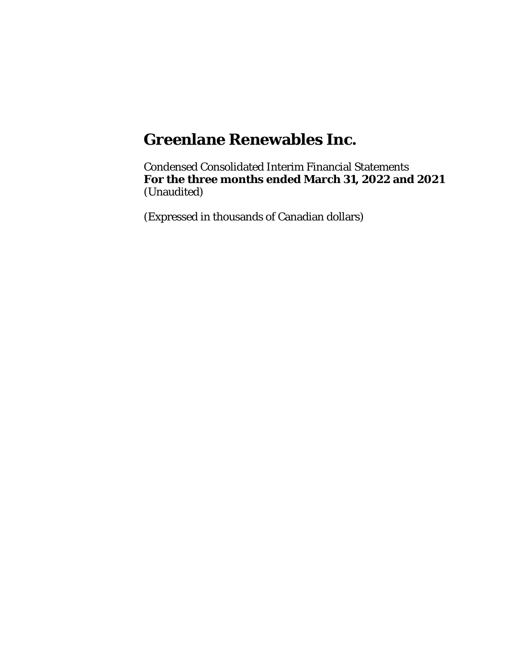Condensed Consolidated Interim Financial Statements **For the three months ended March 31, 2022 and 2021** (Unaudited)

(Expressed in thousands of Canadian dollars)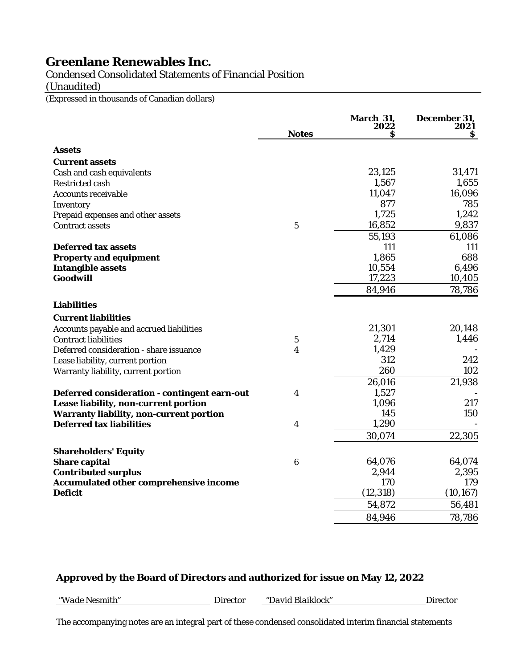# Condensed Consolidated Statements of Financial Position

(Unaudited)

(Expressed in thousands of Canadian dollars)

|                                                |                  | March 31,<br>2022 | December 31,<br>2021 |
|------------------------------------------------|------------------|-------------------|----------------------|
|                                                | <b>Notes</b>     | s                 | S                    |
| <b>Assets</b>                                  |                  |                   |                      |
| <b>Current assets</b>                          |                  |                   |                      |
| Cash and cash equivalents                      |                  | 23,125            | 31,471               |
| <b>Restricted cash</b>                         |                  | 1,567             | 1,655                |
| <b>Accounts receivable</b>                     |                  | 11,047            | 16,096               |
| Inventory                                      |                  | 877               | 785                  |
| Prepaid expenses and other assets              |                  | 1,725             | 1,242                |
| <b>Contract assets</b>                         | $\mathbf 5$      | 16,852            | 9,837                |
|                                                |                  | 55,193            | 61,086               |
| <b>Deferred tax assets</b>                     |                  | 111               | 111                  |
| <b>Property and equipment</b>                  |                  | 1,865             | 688                  |
| <b>Intangible assets</b>                       |                  | 10,554            | 6,496                |
| Goodwill                                       |                  | 17,223            | 10,405               |
|                                                |                  | 84,946            | 78,786               |
| <b>Liabilities</b>                             |                  |                   |                      |
| <b>Current liabilities</b>                     |                  |                   |                      |
| Accounts payable and accrued liabilities       |                  | 21,301            | 20,148               |
| <b>Contract liabilities</b>                    | $\bf 5$          | 2,714             | 1,446                |
| Deferred consideration - share issuance        | 4                | 1,429             |                      |
| Lease liability, current portion               |                  | 312               | 242                  |
| Warranty liability, current portion            |                  | 260               | 102                  |
|                                                |                  | 26,016            | 21,938               |
| Deferred consideration - contingent earn-out   | 4                | 1,527             |                      |
| Lease liability, non-current portion           |                  | 1,096             | 217                  |
| <b>Warranty liability, non-current portion</b> |                  | 145               | 150                  |
| <b>Deferred tax liabilities</b>                | 4                | 1,290             |                      |
|                                                |                  | 30,074            | 22,305               |
| <b>Shareholders' Equity</b>                    |                  |                   |                      |
| <b>Share capital</b>                           | $\boldsymbol{6}$ | 64,076            | 64,074               |
| <b>Contributed surplus</b>                     |                  | 2,944             | 2,395                |
| Accumulated other comprehensive income         |                  | 170               | 179                  |
| <b>Deficit</b>                                 |                  | (12, 318)         | (10, 167)            |
|                                                |                  | 54,872            | 56,481               |
|                                                |                  | 84,946            | 78,786               |

# **Approved by the Board of Directors and authorized for issue on May 12, 2022**

*"Wade Nesmith"* Director *"David Blaiklock"* Director

The accompanying notes are an integral part of these condensed consolidated interim financial statements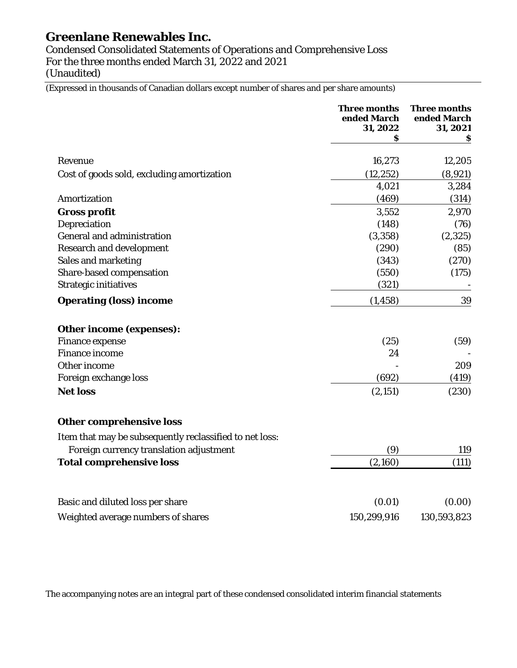Condensed Consolidated Statements of Operations and Comprehensive Loss For the three months ended March 31, 2022 and 2021 (Unaudited)

(Expressed in thousands of Canadian dollars except number of shares and per share amounts)

|                                                         | <b>Three months</b><br>ended March<br>31, 2022 | <b>Three months</b><br>ended March<br>31, 2021 |
|---------------------------------------------------------|------------------------------------------------|------------------------------------------------|
|                                                         | s                                              | s                                              |
| Revenue                                                 | 16,273                                         | 12,205                                         |
| Cost of goods sold, excluding amortization              | (12, 252)                                      | (8,921)                                        |
|                                                         | 4,021                                          | 3,284                                          |
| Amortization                                            | (469)                                          | (314)                                          |
| <b>Gross profit</b>                                     | 3,552                                          | 2,970                                          |
| Depreciation                                            | (148)                                          | (76)                                           |
| <b>General and administration</b>                       | (3, 358)                                       | (2, 325)                                       |
| <b>Research and development</b>                         | (290)                                          | (85)                                           |
| Sales and marketing                                     | (343)                                          | (270)                                          |
| Share-based compensation                                | (550)                                          | (175)                                          |
| <b>Strategic initiatives</b>                            | (321)                                          |                                                |
| <b>Operating (loss) income</b>                          | (1, 458)                                       | 39                                             |
| Other income (expenses):                                |                                                |                                                |
| <b>Finance expense</b>                                  | (25)                                           | (59)                                           |
| <b>Finance income</b>                                   | 24                                             |                                                |
| Other income                                            |                                                | 209                                            |
| Foreign exchange loss                                   | (692)                                          | (419)                                          |
| <b>Net loss</b>                                         | (2, 151)                                       | (230)                                          |
| <b>Other comprehensive loss</b>                         |                                                |                                                |
| Item that may be subsequently reclassified to net loss: |                                                |                                                |
| Foreign currency translation adjustment                 | (9)                                            | 119                                            |
| <b>Total comprehensive loss</b>                         | (2,160)                                        | (111)                                          |
| Basic and diluted loss per share                        | (0.01)                                         | (0.00)                                         |
| Weighted average numbers of shares                      | 150,299,916                                    | 130,593,823                                    |

The accompanying notes are an integral part of these condensed consolidated interim financial statements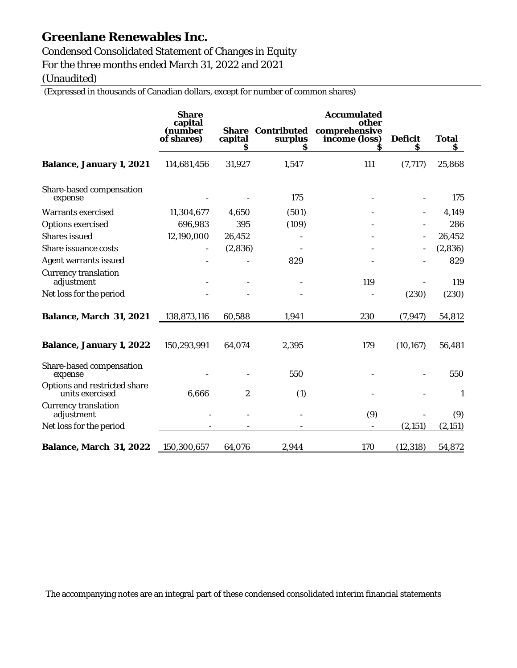Condensed Consolidated Statement of Changes in Equity For the three months ended March 31, 2022 and 2021

(Unaudited)

(Expressed in thousands of Canadian dollars, except for number of common shares)

|                                                 | <b>Share</b><br>capital<br>(number<br>of shares) | <b>Share</b><br>capital<br>Ŝ | <b>Contributed</b><br>surplus<br>S | <b>Accumulated</b><br>other<br>comprehensive<br>income (loss) | <b>Deficit</b><br>s | <b>Total</b><br>S |
|-------------------------------------------------|--------------------------------------------------|------------------------------|------------------------------------|---------------------------------------------------------------|---------------------|-------------------|
| <b>Balance, January 1, 2021</b>                 | 114,681,456                                      | 31,927                       | 1,547                              | 111                                                           | (7, 717)            | 25,868            |
| Share-based compensation<br>expense             |                                                  |                              | 175                                |                                                               |                     | 175               |
| <b>Warrants exercised</b>                       | 11,304,677                                       | 4,650                        | (501)                              |                                                               |                     | 4,149             |
| <b>Options exercised</b>                        | 696,983                                          | 395                          | (109)                              |                                                               |                     | 286               |
| <b>Shares</b> issued                            | 12,190,000                                       | 26,452                       |                                    |                                                               |                     | 26,452            |
| Share issuance costs                            |                                                  | (2,836)                      |                                    |                                                               |                     | (2,836)           |
| <b>Agent warrants issued</b>                    |                                                  |                              | 829                                |                                                               |                     | 829               |
| <b>Currency translation</b><br>adjustment       |                                                  |                              |                                    | 119                                                           |                     | 119               |
| Net loss for the period                         |                                                  |                              |                                    |                                                               | (230)               | (230)             |
| <b>Balance, March 31, 2021</b>                  | 138,873,116                                      | 60,588                       | 1,941                              | 230                                                           | (7, 947)            | 54,812            |
| <b>Balance, January 1, 2022</b>                 | 150,293,991                                      | 64,074                       | 2,395                              | 179                                                           | (10, 167)           | 56,481            |
| Share-based compensation<br>expense             |                                                  |                              | 550                                |                                                               |                     | 550               |
| Options and restricted share<br>units exercised | 6,666                                            | $\boldsymbol{2}$             | (1)                                |                                                               |                     | $\mathbf{1}$      |
| <b>Currency translation</b><br>adjustment       |                                                  |                              |                                    | (9)                                                           |                     | (9)               |
| Net loss for the period                         |                                                  |                              |                                    |                                                               | (2, 151)            | (2, 151)          |
| <b>Balance, March 31, 2022</b>                  | 150,300,657                                      | 64,076                       | 2,944                              | 170                                                           | (12, 318)           | 54,872            |

The accompanying notes are an integral part of these condensed consolidated interim financial statements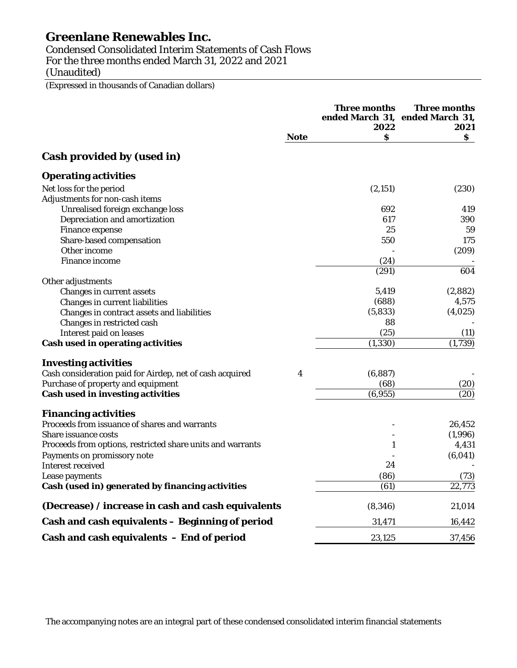Condensed Consolidated Interim Statements of Cash Flows For the three months ended March 31, 2022 and 2021 (Unaudited)

(Expressed in thousands of Canadian dollars)

|                                                            |             | <b>Three months</b><br>2022 | <b>Three months</b><br>ended March 31, ended March 31,<br>2021 |
|------------------------------------------------------------|-------------|-----------------------------|----------------------------------------------------------------|
|                                                            | <b>Note</b> | Ŝ                           | S.                                                             |
| Cash provided by (used in)                                 |             |                             |                                                                |
| <b>Operating activities</b>                                |             |                             |                                                                |
| Net loss for the period                                    |             | (2, 151)                    | (230)                                                          |
| Adjustments for non-cash items                             |             |                             |                                                                |
| Unrealised foreign exchange loss                           |             | 692                         | 419                                                            |
| Depreciation and amortization                              |             | 617                         | 390                                                            |
| Finance expense                                            |             | 25                          | 59                                                             |
| Share-based compensation                                   |             | 550                         | 175                                                            |
| Other income                                               |             |                             | (209)                                                          |
| <b>Finance income</b>                                      |             | (24)                        |                                                                |
|                                                            |             | (291)                       | 604                                                            |
| Other adjustments                                          |             |                             |                                                                |
| Changes in current assets                                  |             | 5,419                       | (2,882)                                                        |
| Changes in current liabilities                             |             | (688)                       | 4,575                                                          |
| Changes in contract assets and liabilities                 |             | (5, 833)                    | (4,025)                                                        |
| Changes in restricted cash                                 |             | 88                          |                                                                |
| Interest paid on leases                                    |             | (25)                        | (11)                                                           |
| <b>Cash used in operating activities</b>                   |             | (1, 330)                    | (1,739)                                                        |
| <b>Investing activities</b>                                |             |                             |                                                                |
| Cash consideration paid for Airdep, net of cash acquired   | 4           | (6, 887)                    |                                                                |
| Purchase of property and equipment                         |             | (68)                        | (20)                                                           |
| <b>Cash used in investing activities</b>                   |             | (6,955)                     | (20)                                                           |
| <b>Financing activities</b>                                |             |                             |                                                                |
| Proceeds from issuance of shares and warrants              |             |                             | 26,452                                                         |
| Share issuance costs                                       |             |                             | (1,996)                                                        |
| Proceeds from options, restricted share units and warrants |             | 1                           | 4,431                                                          |
| Payments on promissory note                                |             |                             | (6,041)                                                        |
| <b>Interest received</b>                                   |             | 24                          |                                                                |
| Lease payments                                             |             | (86)                        | (73)                                                           |
| Cash (used in) generated by financing activities           |             | (61)                        | 22,773                                                         |
| (Decrease) / increase in cash and cash equivalents         |             | (8, 346)                    | 21,014                                                         |
| Cash and cash equivalents - Beginning of period            |             | 31,471                      | 16,442                                                         |
| Cash and cash equivalents - End of period                  |             | 23,125                      | 37,456                                                         |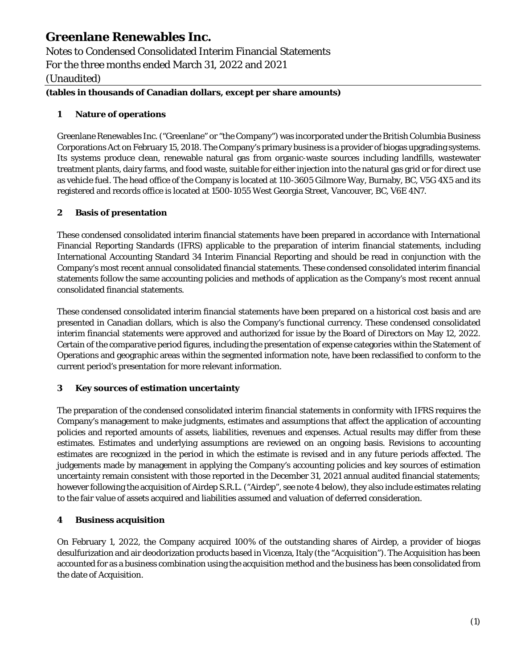Notes to Condensed Consolidated Interim Financial Statements For the three months ended March 31, 2022 and 2021 (Unaudited)

# **(tables in thousands of Canadian dollars, except per share amounts)**

# **1 Nature of operations**

Greenlane Renewables Inc. ("Greenlane" or "the Company") was incorporated under the British Columbia Business Corporations Act on February 15, 2018. The Company's primary business is a provider of biogas upgrading systems. Its systems produce clean, renewable natural gas from organic-waste sources including landfills, wastewater treatment plants, dairy farms, and food waste, suitable for either injection into the natural gas grid or for direct use as vehicle fuel. The head office of the Company is located at 110-3605 Gilmore Way, Burnaby, BC, V5G 4X5 and its registered and records office is located at 1500-1055 West Georgia Street, Vancouver, BC, V6E 4N7.

# **2 Basis of presentation**

These condensed consolidated interim financial statements have been prepared in accordance with International Financial Reporting Standards (IFRS) applicable to the preparation of interim financial statements, including International Accounting Standard 34 Interim Financial Reporting and should be read in conjunction with the Company's most recent annual consolidated financial statements. These condensed consolidated interim financial statements follow the same accounting policies and methods of application as the Company's most recent annual consolidated financial statements.

These condensed consolidated interim financial statements have been prepared on a historical cost basis and are presented in Canadian dollars, which is also the Company's functional currency. These condensed consolidated interim financial statements were approved and authorized for issue by the Board of Directors on May 12, 2022. Certain of the comparative period figures, including the presentation of expense categories within the Statement of Operations and geographic areas within the segmented information note, have been reclassified to conform to the current period's presentation for more relevant information.

### **3 Key sources of estimation uncertainty**

The preparation of the condensed consolidated interim financial statements in conformity with IFRS requires the Company's management to make judgments, estimates and assumptions that affect the application of accounting policies and reported amounts of assets, liabilities, revenues and expenses. Actual results may differ from these estimates. Estimates and underlying assumptions are reviewed on an ongoing basis. Revisions to accounting estimates are recognized in the period in which the estimate is revised and in any future periods affected. The judgements made by management in applying the Company's accounting policies and key sources of estimation uncertainty remain consistent with those reported in the December 31, 2021 annual audited financial statements; however following the acquisition of Airdep S.R.L. ("Airdep", see note 4 below), they also include estimates relating to the fair value of assets acquired and liabilities assumed and valuation of deferred consideration.

# <span id="page-5-0"></span>**4 Business acquisition**

On February 1, 2022, the Company acquired 100% of the outstanding shares of Airdep, a provider of biogas desulfurization and air deodorization products based in Vicenza, Italy (the "Acquisition"). The Acquisition has been accounted for as a business combination using the acquisition method and the business has been consolidated from the date of Acquisition.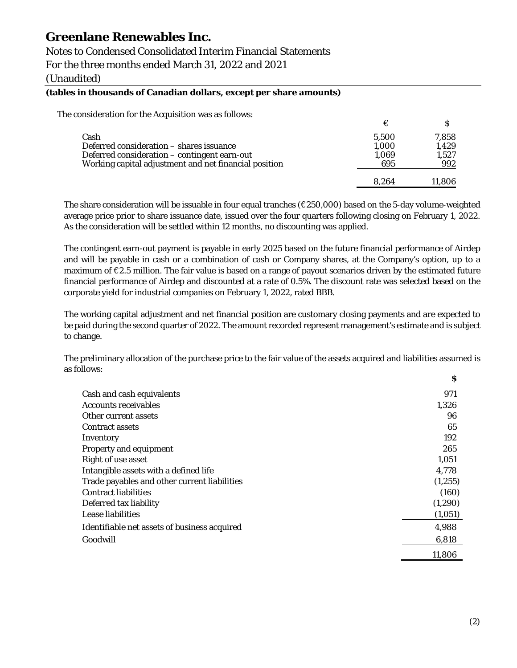# Notes to Condensed Consolidated Interim Financial Statements

For the three months ended March 31, 2022 and 2021

(Unaudited)

#### **(tables in thousands of Canadian dollars, except per share amounts)**

The consideration for the Acquisition was as follows:

|                                                       | €     |        |
|-------------------------------------------------------|-------|--------|
| Cash                                                  | 5.500 | 7,858  |
| Deferred consideration – shares issuance              | 1,000 | 1.429  |
| Deferred consideration – contingent earn-out          | 1,069 | 1,527  |
| Working capital adjustment and net financial position | 695   | 992    |
|                                                       | 8.264 | 11.806 |

The share consideration will be issuable in four equal tranches (€250,000) based on the 5-day volume-weighted average price prior to share issuance date, issued over the four quarters following closing on February 1, 2022. As the consideration will be settled within 12 months, no discounting was applied.

The contingent earn-out payment is payable in early 2025 based on the future financial performance of Airdep and will be payable in cash or a combination of cash or Company shares, at the Company's option, up to a maximum of €2.5 million. The fair value is based on a range of payout scenarios driven by the estimated future financial performance of Airdep and discounted at a rate of 0.5%. The discount rate was selected based on the corporate yield for industrial companies on February 1, 2022, rated BBB.

The working capital adjustment and net financial position are customary closing payments and are expected to be paid during the second quarter of 2022. The amount recorded represent management's estimate and is subject to change.

The preliminary allocation of the purchase price to the fair value of the assets acquired and liabilities assumed is as follows: **\$**

| Cash and cash equivalents                    | 971      |
|----------------------------------------------|----------|
| <b>Accounts receivables</b>                  | 1,326    |
| Other current assets                         | 96       |
| <b>Contract assets</b>                       | 65       |
| Inventory                                    | 192      |
| Property and equipment                       | 265      |
| Right of use asset                           | 1,051    |
| Intangible assets with a defined life        | 4,778    |
| Trade payables and other current liabilities | (1, 255) |
| <b>Contract liabilities</b>                  | (160)    |
| Deferred tax liability                       | (1,290)  |
| Lease liabilities                            | (1,051)  |
| Identifiable net assets of business acquired | 4,988    |
| Goodwill                                     | 6,818    |
|                                              | 11,806   |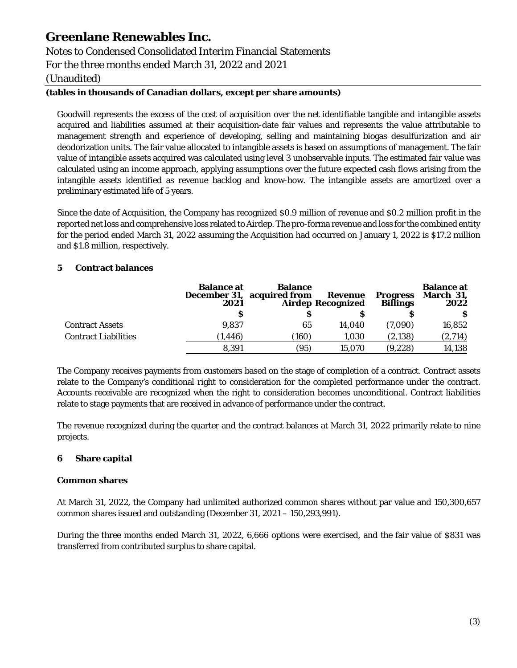Notes to Condensed Consolidated Interim Financial Statements For the three months ended March 31, 2022 and 2021

(Unaudited)

# **(tables in thousands of Canadian dollars, except per share amounts)**

Goodwill represents the excess of the cost of acquisition over the net identifiable tangible and intangible assets acquired and liabilities assumed at their acquisition-date fair values and represents the value attributable to management strength and experience of developing, selling and maintaining biogas desulfurization and air deodorization units. The fair value allocated to intangible assets is based on assumptions of management. The fair value of intangible assets acquired was calculated using level 3 unobservable inputs. The estimated fair value was calculated using an income approach, applying assumptions over the future expected cash flows arising from the intangible assets identified as revenue backlog and know-how. The intangible assets are amortized over a preliminary estimated life of 5 years.

Since the date of Acquisition, the Company has recognized \$0.9 million of revenue and \$0.2 million profit in the reported net loss and comprehensive loss related to Airdep. The pro-forma revenue and loss for the combined entity for the period ended March 31, 2022 assuming the Acquisition had occurred on January 1, 2022 is \$17.2 million and \$1.8 million, respectively.

# <span id="page-7-0"></span>**5 Contract balances**

|                             | <b>Balance at</b><br>2021 | <b>Balance</b><br>December 31, acquired from | Revenue<br><b>Airdep Recognized</b> | <b>Progress</b><br><b>Billings</b> | <b>Balance at</b><br>March 31,<br>2022 |
|-----------------------------|---------------------------|----------------------------------------------|-------------------------------------|------------------------------------|----------------------------------------|
|                             | s                         |                                              |                                     |                                    |                                        |
| <b>Contract Assets</b>      | 9.837                     | 65                                           | 14.040                              | (7.090)                            | 16,852                                 |
| <b>Contract Liabilities</b> | (1, 446)                  | (160)                                        | 1.030                               | (2, 138)                           | (2,714)                                |
|                             | 8.391                     | (95)                                         | 15.070                              | (9,228)                            | 14,138                                 |

The Company receives payments from customers based on the stage of completion of a contract. Contract assets relate to the Company's conditional right to consideration for the completed performance under the contract. Accounts receivable are recognized when the right to consideration becomes unconditional. Contract liabilities relate to stage payments that are received in advance of performance under the contract.

The revenue recognized during the quarter and the contract balances at March 31, 2022 primarily relate to nine projects.

# <span id="page-7-1"></span>**6 Share capital**

### **Common shares**

At March 31, 2022, the Company had unlimited authorized common shares without par value and 150,300,657 common shares issued and outstanding (December 31, 2021 – 150,293,991).

During the three months ended March 31, 2022, 6,666 options were exercised, and the fair value of \$831 was transferred from contributed surplus to share capital.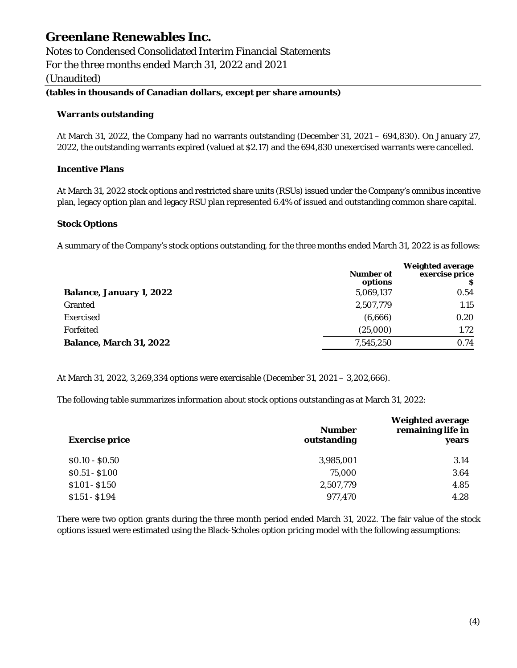Notes to Condensed Consolidated Interim Financial Statements For the three months ended March 31, 2022 and 2021 (Unaudited)

# **(tables in thousands of Canadian dollars, except per share amounts)**

### **Warrants outstanding**

At March 31, 2022, the Company had no warrants outstanding (December 31, 2021 – 694,830). On January 27, 2022, the outstanding warrants expired (valued at \$2.17) and the 694,830 unexercised warrants were cancelled.

### **Incentive Plans**

At March 31, 2022 stock options and restricted share units (RSUs) issued under the Company's omnibus incentive plan, legacy option plan and legacy RSU plan represented 6.4% of issued and outstanding common share capital.

### **Stock Options**

A summary of the Company's stock options outstanding, for the three months ended March 31, 2022 is as follows:

|                                 | <b>Number of</b><br>options | <b>Weighted average</b><br>exercise price |
|---------------------------------|-----------------------------|-------------------------------------------|
| <b>Balance, January 1, 2022</b> | 5,069,137                   | 0.54                                      |
| <b>Granted</b>                  | 2,507,779                   | 1.15                                      |
| Exercised                       | (6,666)                     | 0.20                                      |
| Forfeited                       | (25,000)                    | 1.72                                      |
| <b>Balance, March 31, 2022</b>  | 7,545,250                   | 0.74                                      |

At March 31, 2022, 3,269,334 options were exercisable (December 31, 2021 – 3,202,666).

The following table summarizes information about stock options outstanding as at March 31, 2022:

| <b>Exercise price</b> | <b>Number</b><br>outstanding | <b>Weighted average</b><br>remaining life in<br>years |
|-----------------------|------------------------------|-------------------------------------------------------|
| $$0.10 - $0.50$       | 3,985,001                    | 3.14                                                  |
| $$0.51 - $1.00$       | 75.000                       | 3.64                                                  |
| $$1.01 - $1.50$       | 2,507,779                    | 4.85                                                  |
| $$1.51 - $1.94$       | 977,470                      | 4.28                                                  |

There were two option grants during the three month period ended March 31, 2022. The fair value of the stock options issued were estimated using the Black-Scholes option pricing model with the following assumptions: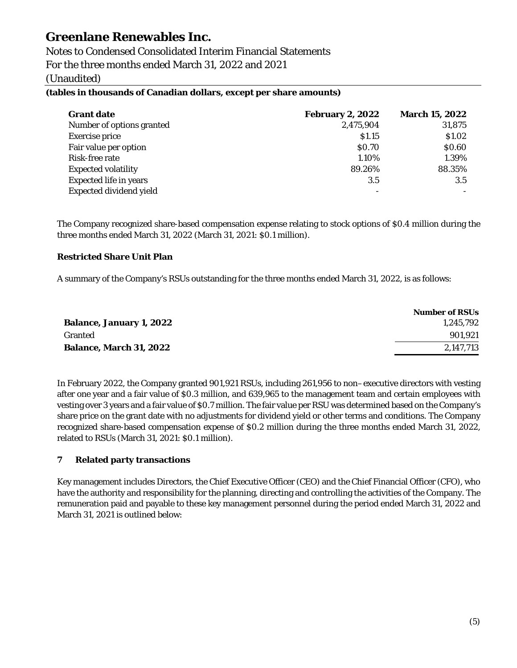Notes to Condensed Consolidated Interim Financial Statements For the three months ended March 31, 2022 and 2021 (Unaudited)

### **(tables in thousands of Canadian dollars, except per share amounts)**

| <b>Grant date</b>              | <b>February 2, 2022</b> | <b>March 15, 2022</b> |
|--------------------------------|-------------------------|-----------------------|
| Number of options granted      | 2,475,904               | 31,875                |
| <b>Exercise price</b>          | \$1.15                  | \$1.02                |
| Fair value per option          | \$0.70                  | \$0.60                |
| Risk-free rate                 | 1.10%                   | 1.39%                 |
| <b>Expected volatility</b>     | 89.26%                  | 88.35%                |
| <b>Expected life in years</b>  | 3.5                     | 3.5                   |
| <b>Expected dividend yield</b> |                         |                       |

The Company recognized share-based compensation expense relating to stock options of \$0.4 million during the three months ended March 31, 2022 (March 31, 2021: \$0.1 million).

### **Restricted Share Unit Plan**

A summary of the Company's RSUs outstanding for the three months ended March 31, 2022, is as follows:

|                                 | <b>Number of RSUs</b> |
|---------------------------------|-----------------------|
| <b>Balance, January 1, 2022</b> | 1.245.792             |
| Granted                         | 901.921               |
| <b>Balance, March 31, 2022</b>  | 2.147.713             |

In February 2022, the Company granted 901,921 RSUs, including 261,956 to non–executive directors with vesting after one year and a fair value of \$0.3 million, and 639,965 to the management team and certain employees with vesting over 3 years and a fair value of \$0.7 million. The fair value per RSU was determined based on the Company's share price on the grant date with no adjustments for dividend yield or other terms and conditions. The Company recognized share-based compensation expense of \$0.2 million during the three months ended March 31, 2022, related to RSUs (March 31, 2021: \$0.1 million).

### **7 Related party transactions**

Key management includes Directors, the Chief Executive Officer (CEO) and the Chief Financial Officer (CFO), who have the authority and responsibility for the planning, directing and controlling the activities of the Company. The remuneration paid and payable to these key management personnel during the period ended March 31, 2022 and March 31, 2021 is outlined below: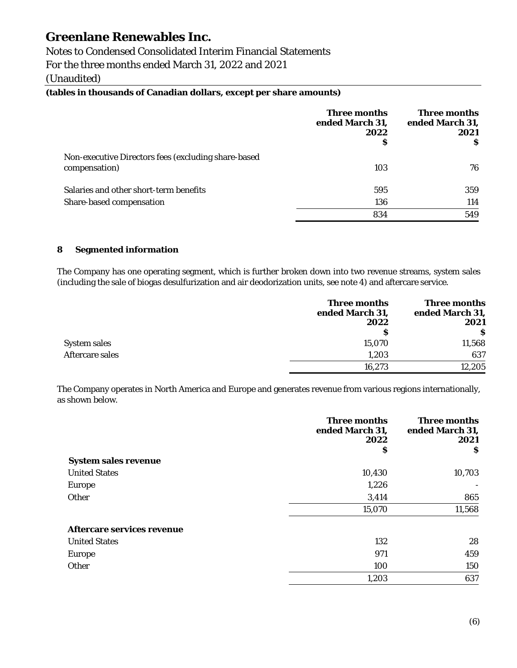Notes to Condensed Consolidated Interim Financial Statements

For the three months ended March 31, 2022 and 2021

(Unaudited)

### **(tables in thousands of Canadian dollars, except per share amounts)**

|                                                                      | Three months<br>ended March 31,<br>2022<br>S | Three months<br>ended March 31,<br>2021<br>-S |
|----------------------------------------------------------------------|----------------------------------------------|-----------------------------------------------|
| Non-executive Directors fees (excluding share-based<br>compensation) | 103                                          | 76                                            |
| Salaries and other short-term benefits                               | 595                                          | 359                                           |
| Share-based compensation                                             | 136                                          | 114                                           |
|                                                                      | 834                                          | 549                                           |

### **8 Segmented information**

The Company has one operating segment, which is further broken down into two revenue streams, system sales (including the sale of biogas desulfurization and air deodorization units, see note 4) and aftercare service.

|                     | Three months<br>ended March 31,<br>2022 | Three months<br>ended March 31,<br>2021 |
|---------------------|-----------------------------------------|-----------------------------------------|
|                     | s                                       | -S                                      |
| <b>System sales</b> | 15,070                                  | 11,568                                  |
| Aftercare sales     | 1,203                                   | 637                                     |
|                     | 16,273                                  | 12,205                                  |

The Company operates in North America and Europe and generates revenue from various regions internationally, as shown below.

|                             | <b>Three months</b><br>ended March 31,<br>2022 | <b>Three months</b><br>ended March 31,<br>2021 |
|-----------------------------|------------------------------------------------|------------------------------------------------|
|                             | \$                                             | S                                              |
| <b>System sales revenue</b> |                                                |                                                |
| <b>United States</b>        | 10,430                                         | 10,703                                         |
| <b>Europe</b>               | 1,226                                          |                                                |
| Other                       | 3,414                                          | 865                                            |
|                             | 15,070                                         | 11,568                                         |
| Aftercare services revenue  |                                                |                                                |
| <b>United States</b>        | 132                                            | 28                                             |
| <b>Europe</b>               | 971                                            | 459                                            |
| Other                       | 100                                            | 150                                            |
|                             | 1,203                                          | 637                                            |